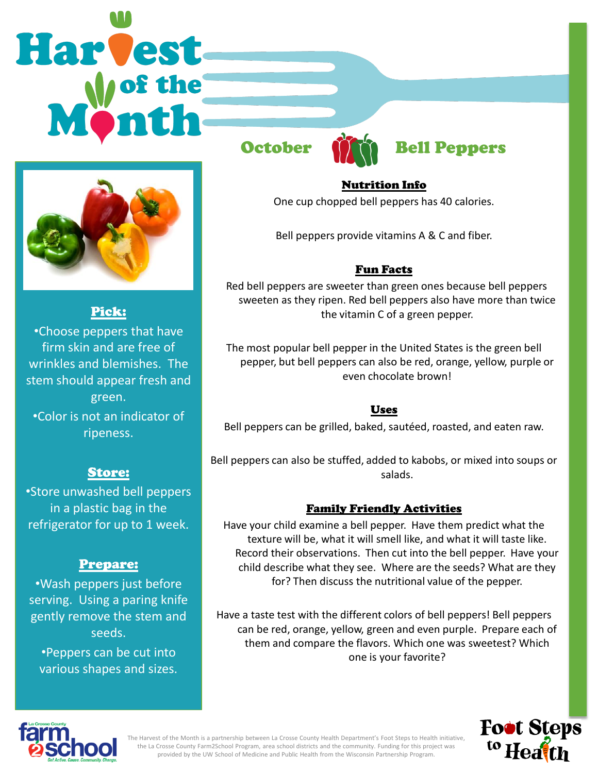# **Harvest**



Pick:

•Choose peppers that have firm skin and are free of wrinkles and blemishes. The stem should appear fresh and green.

•Color is not an indicator of ripeness.

### Store:

•Store unwashed bell peppers in a plastic bag in the refrigerator for up to 1 week.

### Prepare:

•Wash peppers just before serving. Using a paring knife gently remove the stem and seeds.

•Peppers can be cut into various shapes and sizes.



# October **Many Bell Peppers**

### Nutrition Info

One cup chopped bell peppers has 40 calories.

Bell peppers provide vitamins A & C and fiber.

### Fun Facts

 Red bell peppers are sweeter than green ones because bell peppers sweeten as they ripen. Red bell peppers also have more than twice the vitamin C of a green pepper.

The most popular bell pepper in the United States is the green bell pepper, but bell peppers can also be red, orange, yellow, purple or even chocolate brown!

### Uses

Bell peppers can be grilled, baked, sautéed, roasted, and eaten raw.

Bell peppers can also be stuffed, added to kabobs, or mixed into soups or salads.

### Family Friendly Activities

Have your child examine a bell pepper. Have them predict what the texture will be, what it will smell like, and what it will taste like. Record their observations. Then cut into the bell pepper. Have your child describe what they see. Where are the seeds? What are they for? Then discuss the nutritional value of the pepper.

Have a taste test with the different colors of bell peppers! Bell peppers can be red, orange, yellow, green and even purple. Prepare each of them and compare the flavors. Which one was sweetest? Which one is your favorite?